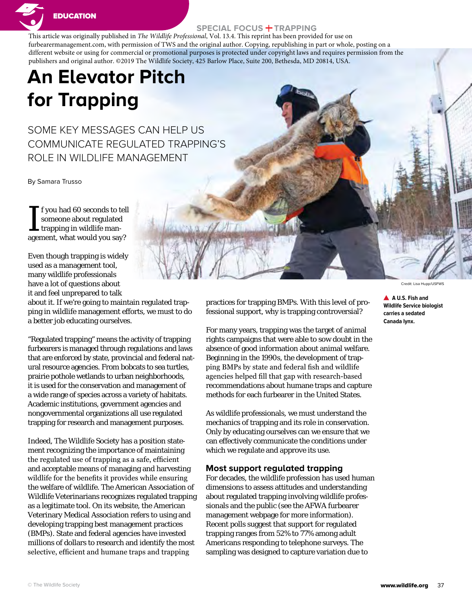

# **SPECIAL FOCUS + TRAPPING**

This article was originally published in *The Wildlife Professional*, Vol. 13.4. This reprint has been provided for use on furbearermanagement.com, with permission of TWS and the original author. Copying, republishing in part or whole, posting on a different website or using for commercial or promotional purposes is protected under copyright laws and requires permission from the publishers and original author. ©2019 The Wildlife Society, 425 Barlow Place, Suite 200, Bethesda, MD 20814, USA.

# **An Elevator Pitch for Trapping**

SOME KEY MESSAGES CAN HELP US COMMUNICATE REGULATED TRAPPING'S ROLE IN WILDLIFE MANAGEMENT

By Samara Trusso

If you had 60 seconds to tel<br>someone about regulated<br>trapping in wildlife man-<br>agement, what would you say? f you had 60 seconds to tell someone about regulated trapping in wildlife man-

Even though trapping is widely used as a management tool, many wildlife professionals have a lot of questions about it and feel unprepared to talk

about it. If we're going to maintain regulated trapping in wildlife management efforts, we must to do a better job educating ourselves.

"Regulated trapping" means the activity of trapping furbearers is managed through regulations and laws that are enforced by state, provincial and federal natural resource agencies. From bobcats to sea turtles, prairie pothole wetlands to urban neighborhoods, it is used for the conservation and management of a wide range of species across a variety of habitats. Academic institutions, government agencies and nongovernmental organizations all use regulated trapping for research and management purposes.

Indeed, The Wildlife Society has a position statement recognizing the importance of maintaining the regulated use of trapping as a safe, efficient and acceptable means of managing and harvesting wildlife for the benefits it provides while ensuring the welfare of wildlife. The American Association of Wildlife Veterinarians recognizes regulated trapping as a legitimate tool. On its website, the American Veterinary Medical Association refers to using and developing trapping best management practices (BMPs). State and federal agencies have invested millions of dollars to research and identify the most selective, efficient and humane traps and trapping

practices for trapping BMPs. With this level of professional support, why is trapping controversial?

For many years, trapping was the target of animal rights campaigns that were able to sow doubt in the absence of good information about animal welfare. Beginning in the 1990s, the development of trapping BMPs by state and federal fish and wildlife agencies helped fill that gap with research-based recommendations about humane traps and capture methods for each furbearer in the United States.

As wildlife professionals, we must understand the mechanics of trapping and its role in conservation. Only by educating ourselves can we ensure that we can effectively communicate the conditions under which we regulate and approve its use.

#### **Most support regulated trapping**

For decades, the wildlife profession has used human dimensions to assess attitudes and understanding about regulated trapping involving wildlife professionals and the public (see the AFWA furbearer management webpage for more information). Recent polls suggest that support for regulated trapping ranges from 52% to 77% among adult Americans responding to telephone surveys. The sampling was designed to capture variation due to

Credit: Lisa Hupp/USFWS

**A U.S. Fish and Wildlife Service biologist carries a sedated Canada lynx.**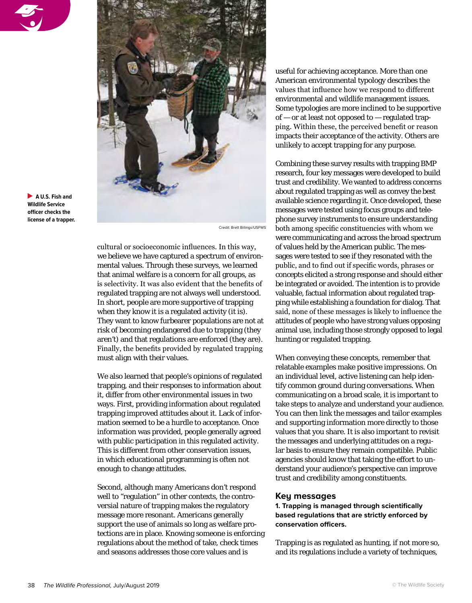



**A U.S. Fish and Wildlife Service officer checks the license of a trapper.**

Credit: Brett Billings/USFWS

cultural or socioeconomic influences. In this way, we believe we have captured a spectrum of environmental values. Through these surveys, we learned that animal welfare is a concern for all groups, as is selectivity. It was also evident that the benefits of regulated trapping are not always well understood. In short, people are more supportive of trapping when they know it is a regulated activity (it is). They want to know furbearer populations are not at risk of becoming endangered due to trapping (they aren't) and that regulations are enforced (they are). Finally, the benefits provided by regulated trapping must align with their values.

We also learned that people's opinions of regulated trapping, and their responses to information about it, differ from other environmental issues in two ways. First, providing information about regulated trapping improved attitudes about it. Lack of information seemed to be a hurdle to acceptance. Once information was provided, people generally agreed with public participation in this regulated activity. This is different from other conservation issues, in which educational programming is often not enough to change attitudes.

Second, although many Americans don't respond well to "regulation" in other contexts, the controversial nature of trapping makes the regulatory message more resonant. Americans generally support the use of animals so long as welfare protections are in place. Knowing someone is enforcing regulations about the method of take, check times and seasons addresses those core values and is

useful for achieving acceptance. More than one American environmental typology describes the values that influence how we respond to different environmental and wildlife management issues. Some typologies are more inclined to be supportive of  $-$  or at least not opposed to  $-$  regulated trapping. Within these, the perceived benefit or reason impacts their acceptance of the activity. Others are unlikely to accept trapping for any purpose.

Combining these survey results with trapping BMP research, four key messages were developed to build trust and credibility. We wanted to address concerns about regulated trapping as well as convey the best available science regarding it. Once developed, these messages were tested using focus groups and telephone survey instruments to ensure understanding both among specific constituencies with whom we were communicating and across the broad spectrum of values held by the American public. The messages were tested to see if they resonated with the public, and to find out if specific words, phrases or concepts elicited a strong response and should either be integrated or avoided. The intention is to provide valuable, factual information about regulated trapping while establishing a foundation for dialog. That said, none of these messages is likely to influence the attitudes of people who have strong values opposing animal use, including those strongly opposed to legal hunting or regulated trapping.

When conveying these concepts, remember that relatable examples make positive impressions. On an individual level, active listening can help identify common ground during conversations. When communicating on a broad scale, it is important to take steps to analyze and understand your audience. You can then link the messages and tailor examples and supporting information more directly to those values that you share. It is also important to revisit the messages and underlying attitudes on a regular basis to ensure they remain compatible. Public agencies should know that taking the effort to understand your audience's perspective can improve trust and credibility among constituents.

#### **Key messages**

**1. Trapping is managed through scientifically based regulations that are strictly enforced by conservation officers.**

Trapping is as regulated as hunting, if not more so, and its regulations include a variety of techniques,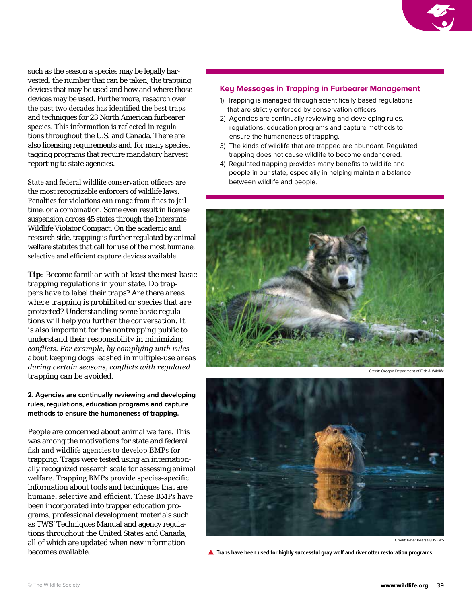such as the season a species may be legally harvested, the number that can be taken, the trapping devices that may be used and how and where those devices may be used. Furthermore, research over the past two decades has identified the best traps and techniques for 23 North American furbearer species. This information is reflected in regulations throughout the U.S. and Canada. There are also licensing requirements and, for many species, tagging programs that require mandatory harvest reporting to state agencies.

State and federal wildlife conservation officers are the most recognizable enforcers of wildlife laws. Penalties for violations can range from fines to jail time, or a combination. Some even result in license suspension across 45 states through the Interstate Wildlife Violator Compact. On the academic and research side, trapping is further regulated by animal welfare statutes that call for use of the most humane, selective and efficient capture devices available.

*Tip: Become familiar with at least the most basic trapping regulations in your state. Do trappers have to label their traps? Are there areas where trapping is prohibited or species that are protected? Understanding some basic regulations will help you further the conversation. It is also important for the nontrapping public to understand their responsibility in minimizing conflicts. For example, by complying with rules about keeping dogs leashed in multiple-use areas during certain seasons, conflicts with regulated trapping can be avoided.* 

## **2. Agencies are continually reviewing and developing rules, regulations, education programs and capture methods to ensure the humaneness of trapping.**

People are concerned about animal welfare. This was among the motivations for state and federal fish and wildlife agencies to develop BMPs for trapping. Traps were tested using an internationally recognized research scale for assessing animal welfare. Trapping BMPs provide species-specific information about tools and techniques that are humane, selective and efficient. These BMPs have been incorporated into trapper education programs, professional development materials such as TWS' Techniques Manual and agency regulations throughout the United States and Canada, all of which are updated when new information becomes available.

## **Key Messages in Trapping in Furbearer Management**

- 1) Trapping is managed through scientifically based regulations that are strictly enforced by conservation officers.
- 2) Agencies are continually reviewing and developing rules, regulations, education programs and capture methods to ensure the humaneness of trapping.
- 3) The kinds of wildlife that are trapped are abundant. Regulated trapping does not cause wildlife to become endangered.
- 4) Regulated trapping provides many benefits to wildlife and people in our state, especially in helping maintain a balance between wildlife and people.



Credit: Oregon Department of Fish & Wildlife



Credit: Peter Pearsall/USFWS

**A** Traps have been used for highly successful gray wolf and river otter restoration programs.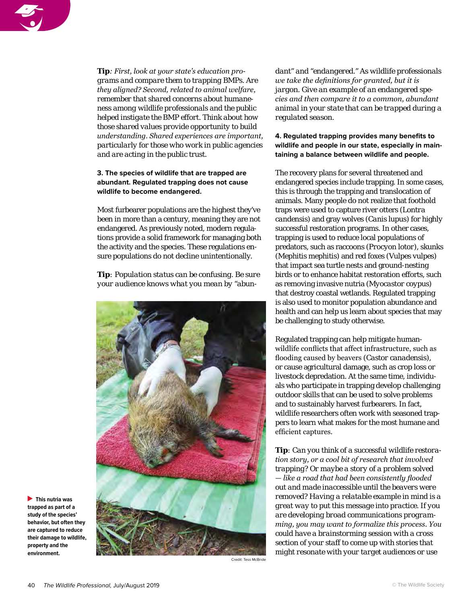

*Tip: First, look at your state's education programs and compare them to trapping BMPs. Are they aligned? Second, related to animal welfare, remember that shared concerns about humaneness among wildlife professionals and the public helped instigate the BMP effort. Think about how those shared values provide opportunity to build understanding. Shared experiences are important, particularly for those who work in public agencies and are acting in the public trust.*

## **3. The species of wildlife that are trapped are abundant. Regulated trapping does not cause wildlife to become endangered.**

Most furbearer populations are the highest they've been in more than a century, meaning they are not endangered. As previously noted, modern regulations provide a solid framework for managing both the activity and the species. These regulations ensure populations do not decline unintentionally.

*Tip: Population status can be confusing. Be sure your audience knows what you mean by "abun-*



**This nutria was trapped as part of a study of the species' behavior, but often they are captured to reduce their damage to wildlife, property and the environment.**

*dant" and "endangered." As wildlife professionals we take the definitions for granted, but it is jargon. Give an example of an endangered species and then compare it to a common, abundant animal in your state that can be trapped during a regulated season.* 

## **4. Regulated trapping provides many benefits to wildlife and people in our state, especially in maintaining a balance between wildlife and people.**

The recovery plans for several threatened and endangered species include trapping. In some cases, this is through the trapping and translocation of animals. Many people do not realize that foothold traps were used to capture river otters (*Lontra candensis*) and gray wolves (*Canis lupus*) for highly successful restoration programs. In other cases, trapping is used to reduce local populations of predators, such as raccoons (*Procyon lotor*), skunks (*Mephitis mephitis*) and red foxes (*Vulpes vulpes*) that impact sea turtle nests and ground-nesting birds or to enhance habitat restoration efforts, such as removing invasive nutria (*Myocastor coypus*) that destroy coastal wetlands. Regulated trapping is also used to monitor population abundance and health and can help us learn about species that may be challenging to study otherwise.

Regulated trapping can help mitigate humanwildlife conflicts that affect infrastructure, such as flooding caused by beavers (*Castor canadensis*), or cause agricultural damage, such as crop loss or livestock depredation. At the same time, individuals who participate in trapping develop challenging outdoor skills that can be used to solve problems and to sustainably harvest furbearers. In fact, wildlife researchers often work with seasoned trappers to learn what makes for the most humane and efficient captures.

*Tip: Can you think of a successful wildlife restoration story, or a cool bit of research that involved trapping? Or maybe a story of a problem solved — like a road that had been consistently flooded out and made inaccessible until the beavers were removed? Having a relatable example in mind is a great way to put this message into practice. If you are developing broad communications programming, you may want to formalize this process. You could have a brainstorming session with a cross section of your staff to come up with stories that might resonate with your target audiences or use* 

Credit: Tess McBride